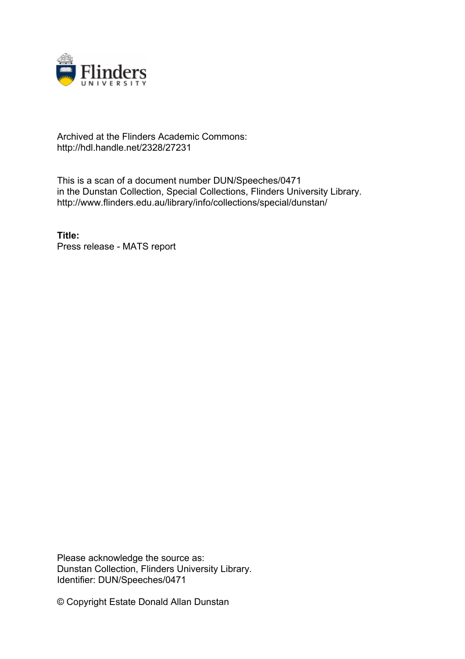

## Archived at the Flinders Academic Commons: http://hdl.handle.net/2328/27231

This is a scan of a document number DUN/Speeches/0471 in the Dunstan Collection, Special Collections, Flinders University Library. http://www.flinders.edu.au/library/info/collections/special/dunstan/

**Title:** Press release - MATS report

Please acknowledge the source as: Dunstan Collection, Flinders University Library. Identifier: DUN/Speeches/0471

© Copyright Estate Donald Allan Dunstan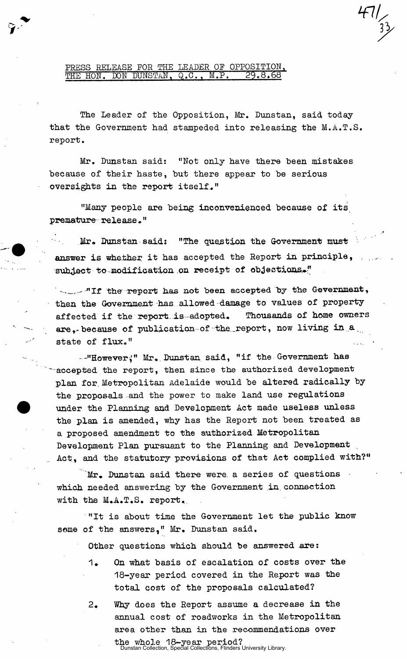PRESS RELEASE FOR THE LEADER OF OPPOSITION, THE HON. DON DUNSTAN, Q.C., M.P. 29.8.68

**The Leader of the Opposition, Mr, Dunstan, said today that the Government had stampeded into releasing the M.A.T.S. report.** 

Mr. Dunstan said: "Not only have there been mistakes **because of their haste, but there appear to be serious oversights in the report itself."** 

**"Many people are being inconvenienced because of its**  premature release."

 $\mathcal{O}(\sqrt{2})$ Mr. Dunstan said: "The question the Government must **answer is whether it has accepted the Report in principle, subject to modification .on receipt of objections.\*"** 

**. - "If the- report has not been accepted by the Government, then the Government has allowed damage to values of property affected if the report, is adopted. Thousands of home owners are,-because of publication of the.report, now living in.a., state of flux."** 

**-"However^" Mr.. Dunstan said, "if the Government has —accepted the report, then** since **the authorized development plan for. Metropolitan** Adelaide **would be altered radically by the proposals** and **the power to** make land use **regulations under the Planning and Development Act made useless unless the plan is amended, why has the Report not been treated as a proposed amendment to the authorized Metropolitan Development Plan pursuant to the Planning** and **Development Act, and the statutory provisions of that Act complied with?"** 

Mr. Dunstan said there were a series of questions **which needed answering by the Government in. connection**  with the  $M.A.T.A.$  report.

**"It is about time the Government let the public know some of the answers," Mr. Dunstan said.** 

**Other questions which should be answered are:** 

- **1. On what basis of escalation of costs over the 18-year period covered in the Report was the total cost of the proposals calculated?**
- **2. Why does the Report assume a decrease in the annual cost of roadworks in the Metropolitan area other than in the recommendations over**

**the whole 18-year period?**  Dunstan Collection, Special Collections, Flinders University Library.